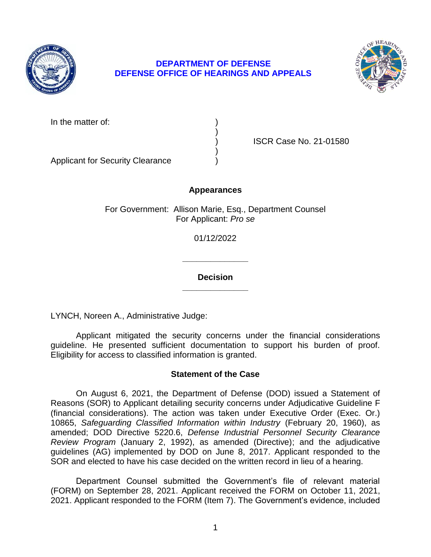

# **DEPARTMENT OF DEFENSE DEFENSE OFFICE OF HEARINGS AND APPEALS**



| In the matter of: |
|-------------------|
|                   |

) ISCR Case No. 21-01580

Applicant for Security Clearance )

## **Appearances**

)

)

For Government: Allison Marie, Esq., Department Counsel For Applicant: *Pro se* 

01/12/2022

**\_\_\_\_\_\_\_\_\_\_\_\_\_\_ Decision** 

**\_\_\_\_\_\_\_\_\_\_\_\_\_\_** 

LYNCH, Noreen A., Administrative Judge:

Applicant mitigated the security concerns under the financial considerations guideline. He presented sufficient documentation to support his burden of proof. Eligibility for access to classified information is granted.

# **Statement of the Case**

On August 6, 2021, the Department of Defense (DOD) issued a Statement of Reasons (SOR) to Applicant detailing security concerns under Adjudicative Guideline F (financial considerations). The action was taken under Executive Order (Exec. Or.) 10865, *Safeguarding Classified Information within Industry* (February 20, 1960), as amended; DOD Directive 5220.6, *Defense Industrial Personnel Security Clearance Review Program* (January 2, 1992), as amended (Directive); and the adjudicative guidelines (AG) implemented by DOD on June 8, 2017. Applicant responded to the SOR and elected to have his case decided on the written record in lieu of a hearing.

 Department Counsel submitted the Government's file of relevant material (FORM) on September 28, 2021. Applicant received the FORM on October 11, 2021, 2021. Applicant responded to the FORM (Item 7). The Government's evidence, included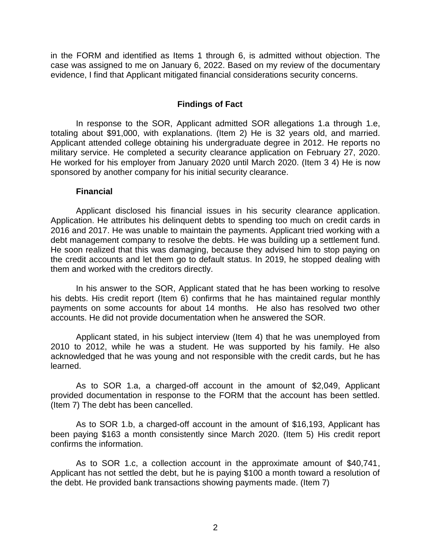in the FORM and identified as Items 1 through 6, is admitted without objection. The case was assigned to me on January 6, 2022. Based on my review of the documentary evidence, I find that Applicant mitigated financial considerations security concerns.

## **Findings of Fact**

In response to the SOR, Applicant admitted SOR allegations 1.a through 1.e, totaling about \$91,000, with explanations. (Item 2) He is 32 years old, and married. Applicant attended college obtaining his undergraduate degree in 2012. He reports no military service. He completed a security clearance application on February 27, 2020. He worked for his employer from January 2020 until March 2020. (Item 3 4) He is now sponsored by another company for his initial security clearance.

### **Financial**

Applicant disclosed his financial issues in his security clearance application. Application. He attributes his delinquent debts to spending too much on credit cards in 2016 and 2017. He was unable to maintain the payments. Applicant tried working with a debt management company to resolve the debts. He was building up a settlement fund. He soon realized that this was damaging, because they advised him to stop paying on the credit accounts and let them go to default status. In 2019, he stopped dealing with them and worked with the creditors directly.

In his answer to the SOR, Applicant stated that he has been working to resolve his debts. His credit report (Item 6) confirms that he has maintained regular monthly payments on some accounts for about 14 months. He also has resolved two other accounts. He did not provide documentation when he answered the SOR.

Applicant stated, in his subject interview (Item 4) that he was unemployed from 2010 to 2012, while he was a student. He was supported by his family. He also acknowledged that he was young and not responsible with the credit cards, but he has learned.

As to SOR 1.a, a charged-off account in the amount of \$2,049, Applicant provided documentation in response to the FORM that the account has been settled. (Item 7) The debt has been cancelled.

As to SOR 1.b, a charged-off account in the amount of \$16,193, Applicant has been paying \$163 a month consistently since March 2020. (Item 5) His credit report confirms the information.

As to SOR 1.c, a collection account in the approximate amount of \$40,741, Applicant has not settled the debt, but he is paying \$100 a month toward a resolution of the debt. He provided bank transactions showing payments made. (Item 7)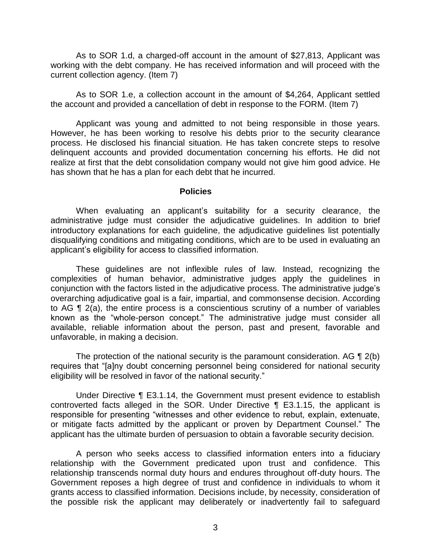As to SOR 1.d, a charged-off account in the amount of \$27,813, Applicant was working with the debt company. He has received information and will proceed with the current collection agency. (Item 7)

As to SOR 1.e, a collection account in the amount of \$4,264, Applicant settled the account and provided a cancellation of debt in response to the FORM. (Item 7)

Applicant was young and admitted to not being responsible in those years. However, he has been working to resolve his debts prior to the security clearance process. He disclosed his financial situation. He has taken concrete steps to resolve delinquent accounts and provided documentation concerning his efforts. He did not realize at first that the debt consolidation company would not give him good advice. He has shown that he has a plan for each debt that he incurred.

#### **Policies**

 When evaluating an applicant's suitability for a security clearance, the administrative judge must consider the adjudicative guidelines. In addition to brief introductory explanations for each guideline, the adjudicative guidelines list potentially disqualifying conditions and mitigating conditions, which are to be used in evaluating an applicant's eligibility for access to classified information.

 known as the "whole-person concept." The administrative judge must consider all These guidelines are not inflexible rules of law. Instead, recognizing the complexities of human behavior, administrative judges apply the guidelines in conjunction with the factors listed in the adjudicative process. The administrative judge's overarching adjudicative goal is a fair, impartial, and commonsense decision. According to AG ¶ 2(a), the entire process is a conscientious scrutiny of a number of variables available, reliable information about the person, past and present, favorable and unfavorable, in making a decision.

The protection of the national security is the paramount consideration. AG ¶ 2(b) requires that "[a]ny doubt concerning personnel being considered for national security eligibility will be resolved in favor of the national security."

 responsible for presenting "witnesses and other evidence to rebut, explain, extenuate, Under Directive ¶ E3.1.14, the Government must present evidence to establish controverted facts alleged in the SOR. Under Directive ¶ E3.1.15, the applicant is or mitigate facts admitted by the applicant or proven by Department Counsel." The applicant has the ultimate burden of persuasion to obtain a favorable security decision.

A person who seeks access to classified information enters into a fiduciary relationship with the Government predicated upon trust and confidence. This relationship transcends normal duty hours and endures throughout off-duty hours. The Government reposes a high degree of trust and confidence in individuals to whom it grants access to classified information. Decisions include, by necessity, consideration of the possible risk the applicant may deliberately or inadvertently fail to safeguard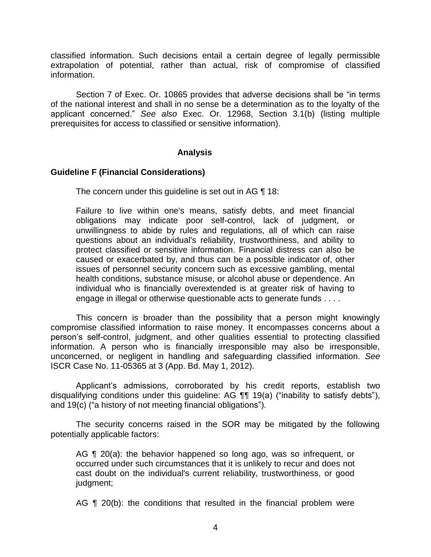classified information. Such decisions entail a certain degree of legally permissible extrapolation of potential, rather than actual, risk of compromise of classified information.

 Section 7 of Exec. Or. 10865 provides that adverse decisions shall be "in terms of the national interest and shall in no sense be a determination as to the loyalty of the applicant concerned." *See also* Exec. Or. 12968, Section 3.1(b) (listing multiple prerequisites for access to classified or sensitive information).

### **Analysis**

### **Guideline F (Financial Considerations)**

The concern under this guideline is set out in AG ¶ 18:

Failure to live within one's means, satisfy debts, and meet financial obligations may indicate poor self-control, lack of judgment, or unwillingness to abide by rules and regulations, all of which can raise questions about an individual's reliability, trustworthiness, and ability to protect classified or sensitive information. Financial distress can also be caused or exacerbated by, and thus can be a possible indicator of, other issues of personnel security concern such as excessive gambling, mental health conditions, substance misuse, or alcohol abuse or dependence. An individual who is financially overextended is at greater risk of having to engage in illegal or otherwise questionable acts to generate funds . . . .

This concern is broader than the possibility that a person might knowingly compromise classified information to raise money. It encompasses concerns about a person's self-control, judgment, and other qualities essential to protecting classified information. A person who is financially irresponsible may also be irresponsible, unconcerned, or negligent in handling and safeguarding classified information. *See*  ISCR Case No. 11-05365 at 3 (App. Bd. May 1, 2012).

 disqualifying conditions under this guideline: AG ¶¶ 19(a) ("inability to satisfy debts"), Applicant's admissions, corroborated by his credit reports, establish two and 19(c) ("a history of not meeting financial obligations").

The security concerns raised in the SOR may be mitigated by the following potentially applicable factors:

AG **[1** 20(a): the behavior happened so long ago, was so infrequent, or occurred under such circumstances that it is unlikely to recur and does not cast doubt on the individual's current reliability, trustworthiness, or good judgment;

AG ¶ 20(b): the conditions that resulted in the financial problem were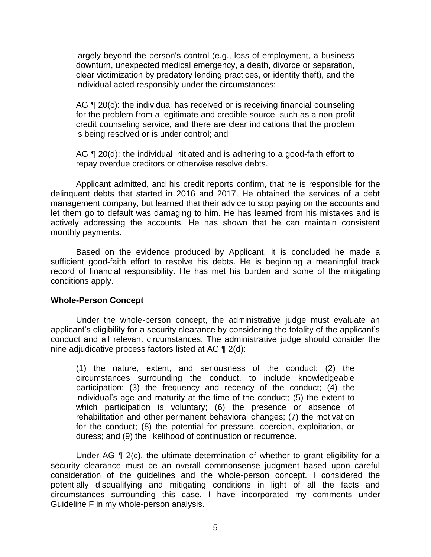largely beyond the person's control (e.g., loss of employment, a business downturn, unexpected medical emergency, a death, divorce or separation, clear victimization by predatory lending practices, or identity theft), and the individual acted responsibly under the circumstances;

AG ¶ 20(c): the individual has received or is receiving financial counseling for the problem from a legitimate and credible source, such as a non-profit credit counseling service, and there are clear indications that the problem is being resolved or is under control; and

AG  $\P$  20(d): the individual initiated and is adhering to a good-faith effort to repay overdue creditors or otherwise resolve debts.

Applicant admitted, and his credit reports confirm, that he is responsible for the delinquent debts that started in 2016 and 2017. He obtained the services of a debt management company, but learned that their advice to stop paying on the accounts and let them go to default was damaging to him. He has learned from his mistakes and is actively addressing the accounts. He has shown that he can maintain consistent monthly payments.

Based on the evidence produced by Applicant, it is concluded he made a sufficient good-faith effort to resolve his debts. He is beginning a meaningful track record of financial responsibility. He has met his burden and some of the mitigating conditions apply.

### **Whole-Person Concept**

Under the whole-person concept, the administrative judge must evaluate an applicant's eligibility for a security clearance by considering the totality of the applicant's conduct and all relevant circumstances. The administrative judge should consider the nine adjudicative process factors listed at AG ¶ 2(d):

(1) the nature, extent, and seriousness of the conduct; (2) the circumstances surrounding the conduct, to include knowledgeable participation; (3) the frequency and recency of the conduct; (4) the individual's age and maturity at the time of the conduct; (5) the extent to which participation is voluntary; (6) the presence or absence of rehabilitation and other permanent behavioral changes; (7) the motivation for the conduct; (8) the potential for pressure, coercion, exploitation, or duress; and (9) the likelihood of continuation or recurrence.

Under AG ¶ 2(c), the ultimate determination of whether to grant eligibility for a security clearance must be an overall commonsense judgment based upon careful consideration of the guidelines and the whole-person concept. I considered the potentially disqualifying and mitigating conditions in light of all the facts and circumstances surrounding this case. I have incorporated my comments under Guideline F in my whole-person analysis.